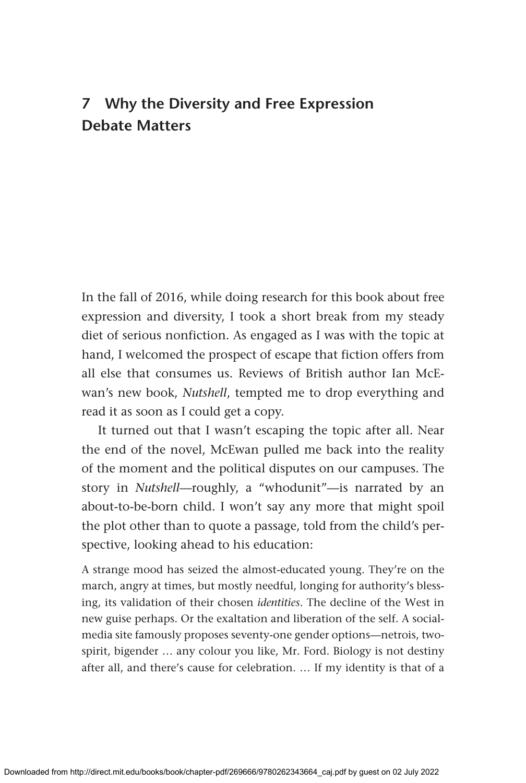## **7 Why the Diversity and Free Expression Debate Matters**

In the fall of 2016, while doing research for this book about free expression and diversity, I took a short break from my steady diet of serious nonfiction. As engaged as I was with the topic at hand, I welcomed the prospect of escape that fiction offers from all else that consumes us. Reviews of British author Ian McEwan's new book, *Nutshell*, tempted me to drop everything and read it as soon as I could get a copy.

It turned out that I wasn't escaping the topic after all. Near the end of the novel, McEwan pulled me back into the reality of the moment and the political disputes on our campuses. The story in *Nutshell*—roughly, a "whodunit"—is narrated by an about-to-be-born child. I won't say any more that might spoil the plot other than to quote a passage, told from the child's perspective, looking ahead to his education:

A strange mood has seized the almost-educated young. They're on the march, angry at times, but mostly needful, longing for authority's blessing, its validation of their chosen *identities*. The decline of the West in new guise perhaps. Or the exaltation and liberation of the self. A socialmedia site famously proposes seventy-one gender options—netrois, twospirit, bigender … any colour you like, Mr. Ford. Biology is not destiny after all, and there's cause for celebration. … If my identity is that of a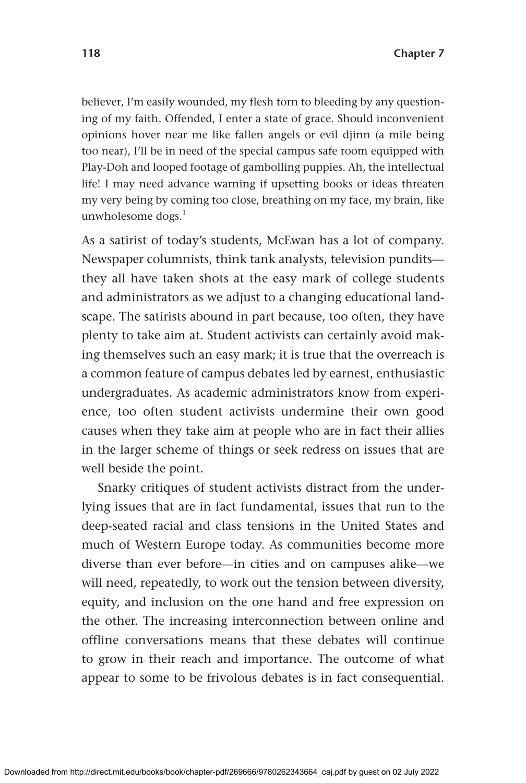believer, I'm easily wounded, my flesh torn to bleeding by any questioning of my faith. Offended, I enter a state of grace. Should inconvenient opinions hover near me like fallen angels or evil djinn (a mile being too near), I'll be in need of the special campus safe room equipped with Play-Doh and looped footage of gambolling puppies. Ah, the intellectual life! I may need advance warning if upsetting books or ideas threaten my very being by coming too close, breathing on my face, my brain, like unwholesome dogs. $<sup>1</sup>$ </sup>

As a satirist of today's students, McEwan has a lot of company. Newspaper columnists, think tank analysts, television pundits they all have taken shots at the easy mark of college students and administrators as we adjust to a changing educational landscape. The satirists abound in part because, too often, they have plenty to take aim at. Student activists can certainly avoid making themselves such an easy mark; it is true that the overreach is a common feature of campus debates led by earnest, enthusiastic undergraduates. As academic administrators know from experience, too often student activists undermine their own good causes when they take aim at people who are in fact their allies in the larger scheme of things or seek redress on issues that are well beside the point.

Snarky critiques of student activists distract from the underlying issues that are in fact fundamental, issues that run to the deep-seated racial and class tensions in the United States and much of Western Europe today. As communities become more diverse than ever before—in cities and on campuses alike—we will need, repeatedly, to work out the tension between diversity, equity, and inclusion on the one hand and free expression on the other. The increasing interconnection between online and offline conversations means that these debates will continue to grow in their reach and importance. The outcome of what appear to some to be frivolous debates is in fact consequential.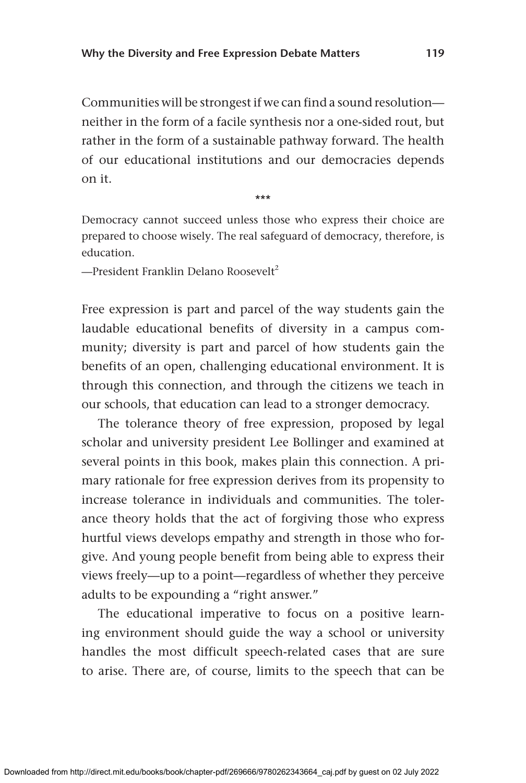Communities will be strongest if we can find a sound resolution neither in the form of a facile synthesis nor a one-sided rout, but rather in the form of a sustainable pathway forward. The health of our educational institutions and our democracies depends on it.

Democracy cannot succeed unless those who express their choice are prepared to choose wisely. The real safeguard of democracy, therefore, is education.

\*\*\*

—President Franklin Delano Roosevelt2

Free expression is part and parcel of the way students gain the laudable educational benefits of diversity in a campus community; diversity is part and parcel of how students gain the benefits of an open, challenging educational environment. It is through this connection, and through the citizens we teach in our schools, that education can lead to a stronger democracy.

The tolerance theory of free expression, proposed by legal scholar and university president Lee Bollinger and examined at several points in this book, makes plain this connection. A primary rationale for free expression derives from its propensity to increase tolerance in individuals and communities. The tolerance theory holds that the act of forgiving those who express hurtful views develops empathy and strength in those who forgive. And young people benefit from being able to express their views freely—up to a point—regardless of whether they perceive adults to be expounding a "right answer."

The educational imperative to focus on a positive learning environment should guide the way a school or university handles the most difficult speech-related cases that are sure to arise. There are, of course, limits to the speech that can be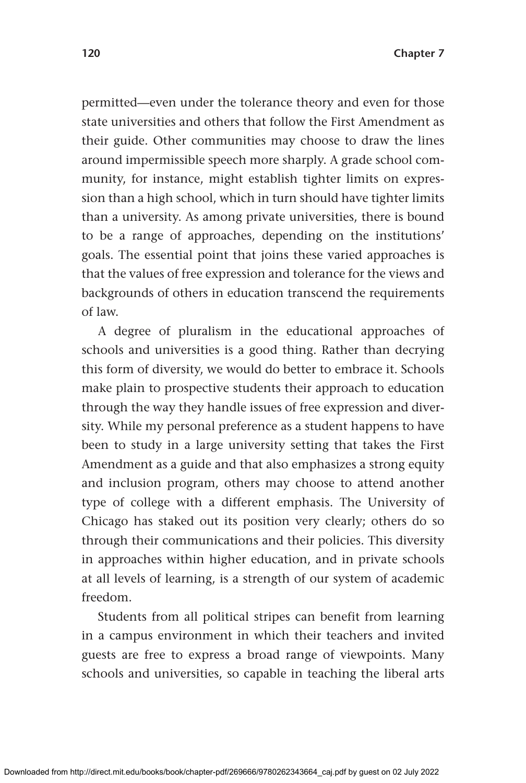permitted—even under the tolerance theory and even for those state universities and others that follow the First Amendment as their guide. Other communities may choose to draw the lines around impermissible speech more sharply. A grade school community, for instance, might establish tighter limits on expression than a high school, which in turn should have tighter limits than a university. As among private universities, there is bound to be a range of approaches, depending on the institutions' goals. The essential point that joins these varied approaches is that the values of free expression and tolerance for the views and backgrounds of others in education transcend the requirements of law.

A degree of pluralism in the educational approaches of schools and universities is a good thing. Rather than decrying this form of diversity, we would do better to embrace it. Schools make plain to prospective students their approach to education through the way they handle issues of free expression and diversity. While my personal preference as a student happens to have been to study in a large university setting that takes the First Amendment as a guide and that also emphasizes a strong equity and inclusion program, others may choose to attend another type of college with a different emphasis. The University of Chicago has staked out its position very clearly; others do so through their communications and their policies. This diversity in approaches within higher education, and in private schools at all levels of learning, is a strength of our system of academic freedom.

Students from all political stripes can benefit from learning in a campus environment in which their teachers and invited guests are free to express a broad range of viewpoints. Many schools and universities, so capable in teaching the liberal arts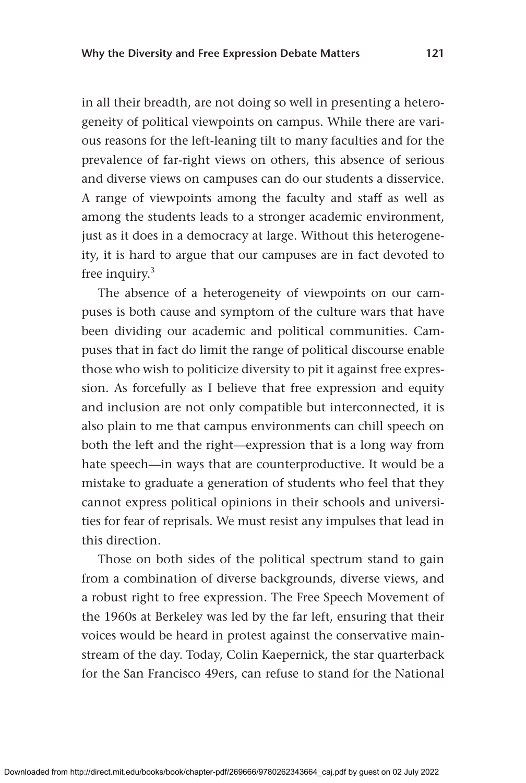in all their breadth, are not doing so well in presenting a heterogeneity of political viewpoints on campus. While there are various reasons for the left-leaning tilt to many faculties and for the prevalence of far-right views on others, this absence of serious and diverse views on campuses can do our students a disservice. A range of viewpoints among the faculty and staff as well as among the students leads to a stronger academic environment, just as it does in a democracy at large. Without this heterogeneity, it is hard to argue that our campuses are in fact devoted to free inquiry. $3$ 

The absence of a heterogeneity of viewpoints on our campuses is both cause and symptom of the culture wars that have been dividing our academic and political communities. Campuses that in fact do limit the range of political discourse enable those who wish to politicize diversity to pit it against free expression. As forcefully as I believe that free expression and equity and inclusion are not only compatible but interconnected, it is also plain to me that campus environments can chill speech on both the left and the right—expression that is a long way from hate speech—in ways that are counterproductive. It would be a mistake to graduate a generation of students who feel that they cannot express political opinions in their schools and universities for fear of reprisals. We must resist any impulses that lead in this direction.

Those on both sides of the political spectrum stand to gain from a combination of diverse backgrounds, diverse views, and a robust right to free expression. The Free Speech Movement of the 1960s at Berkeley was led by the far left, ensuring that their voices would be heard in protest against the conservative mainstream of the day. Today, Colin Kaepernick, the star quarterback for the San Francisco 49ers, can refuse to stand for the National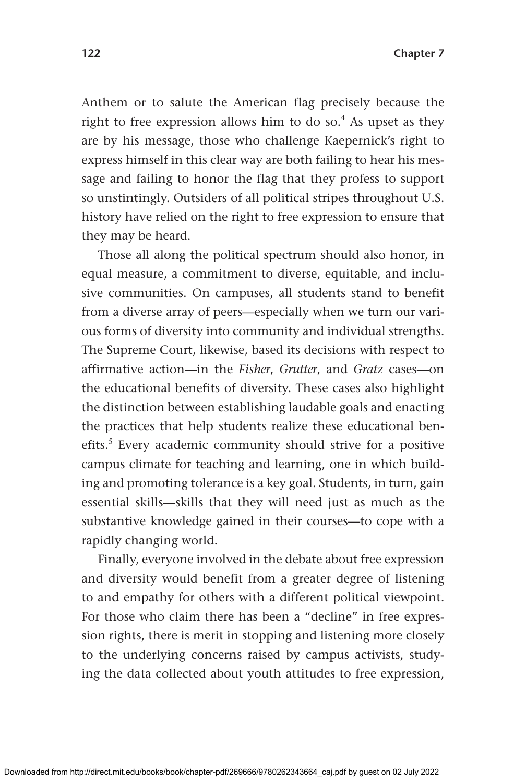**122 Chapter 7**

Anthem or to salute the American flag precisely because the right to free expression allows him to do so. $4$  As upset as they are by his message, those who challenge Kaepernick's right to express himself in this clear way are both failing to hear his message and failing to honor the flag that they profess to support so unstintingly. Outsiders of all political stripes throughout U.S. history have relied on the right to free expression to ensure that they may be heard.

Those all along the political spectrum should also honor, in equal measure, a commitment to diverse, equitable, and inclusive communities. On campuses, all students stand to benefit from a diverse array of peers—especially when we turn our various forms of diversity into community and individual strengths. The Supreme Court, likewise, based its decisions with respect to affirmative action—in the *Fisher*, *Grutter*, and *Gratz* cases—on the educational benefits of diversity. These cases also highlight the distinction between establishing laudable goals and enacting the practices that help students realize these educational benefits.<sup>5</sup> Every academic community should strive for a positive campus climate for teaching and learning, one in which building and promoting tolerance is a key goal. Students, in turn, gain essential skills—skills that they will need just as much as the substantive knowledge gained in their courses—to cope with a rapidly changing world.

Finally, everyone involved in the debate about free expression and diversity would benefit from a greater degree of listening to and empathy for others with a different political viewpoint. For those who claim there has been a "decline" in free expression rights, there is merit in stopping and listening more closely to the underlying concerns raised by campus activists, studying the data collected about youth attitudes to free expression,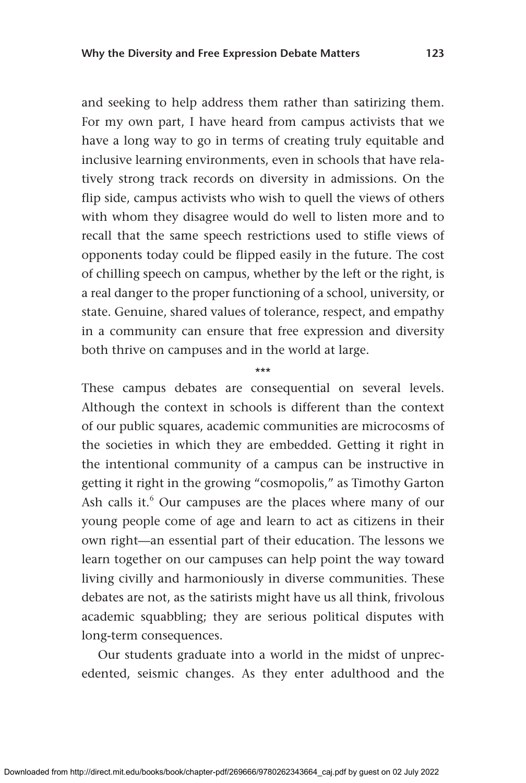and seeking to help address them rather than satirizing them. For my own part, I have heard from campus activists that we have a long way to go in terms of creating truly equitable and inclusive learning environments, even in schools that have relatively strong track records on diversity in admissions. On the flip side, campus activists who wish to quell the views of others with whom they disagree would do well to listen more and to recall that the same speech restrictions used to stifle views of opponents today could be flipped easily in the future. The cost of chilling speech on campus, whether by the left or the right, is a real danger to the proper functioning of a school, university, or state. Genuine, shared values of tolerance, respect, and empathy in a community can ensure that free expression and diversity both thrive on campuses and in the world at large.

\*\*\*

These campus debates are consequential on several levels. Although the context in schools is different than the context of our public squares, academic communities are microcosms of the societies in which they are embedded. Getting it right in the intentional community of a campus can be instructive in getting it right in the growing "cosmopolis," as Timothy Garton Ash calls it.<sup>6</sup> Our campuses are the places where many of our young people come of age and learn to act as citizens in their own right—an essential part of their education. The lessons we learn together on our campuses can help point the way toward living civilly and harmoniously in diverse communities. These debates are not, as the satirists might have us all think, frivolous academic squabbling; they are serious political disputes with long-term consequences.

Our students graduate into a world in the midst of unprecedented, seismic changes. As they enter adulthood and the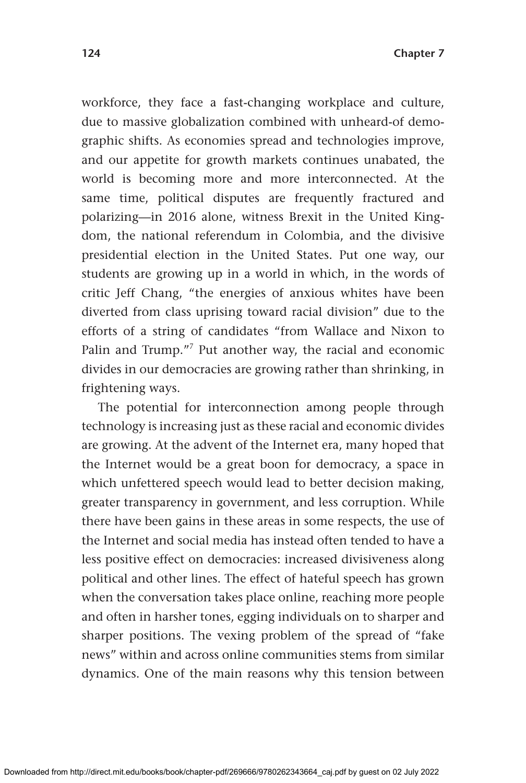workforce, they face a fast-changing workplace and culture, due to massive globalization combined with unheard-of demographic shifts. As economies spread and technologies improve, and our appetite for growth markets continues unabated, the world is becoming more and more interconnected. At the same time, political disputes are frequently fractured and polarizing—in 2016 alone, witness Brexit in the United Kingdom, the national referendum in Colombia, and the divisive presidential election in the United States. Put one way, our students are growing up in a world in which, in the words of critic Jeff Chang, "the energies of anxious whites have been diverted from class uprising toward racial division" due to the efforts of a string of candidates "from Wallace and Nixon to Palin and Trump."<sup>7</sup> Put another way, the racial and economic divides in our democracies are growing rather than shrinking, in frightening ways.

The potential for interconnection among people through technology is increasing just as these racial and economic divides are growing. At the advent of the Internet era, many hoped that the Internet would be a great boon for democracy, a space in which unfettered speech would lead to better decision making, greater transparency in government, and less corruption. While there have been gains in these areas in some respects, the use of the Internet and social media has instead often tended to have a less positive effect on democracies: increased divisiveness along political and other lines. The effect of hateful speech has grown when the conversation takes place online, reaching more people and often in harsher tones, egging individuals on to sharper and sharper positions. The vexing problem of the spread of "fake news" within and across online communities stems from similar dynamics. One of the main reasons why this tension between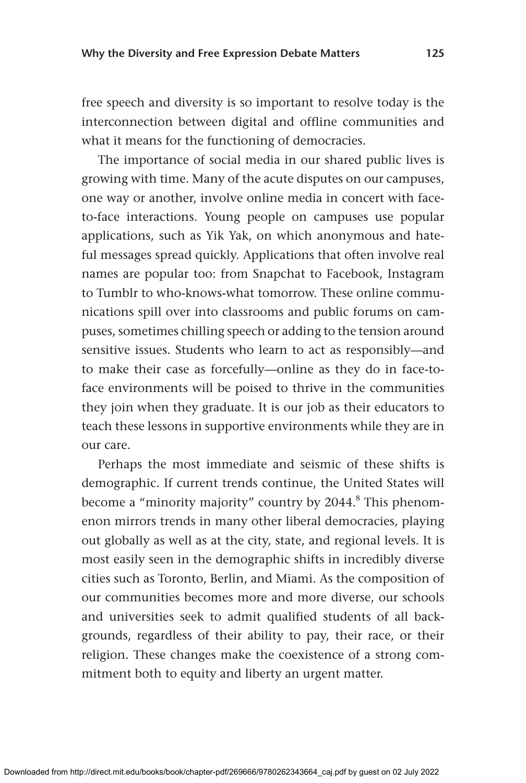free speech and diversity is so important to resolve today is the interconnection between digital and offline communities and what it means for the functioning of democracies.

The importance of social media in our shared public lives is growing with time. Many of the acute disputes on our campuses, one way or another, involve online media in concert with faceto-face interactions. Young people on campuses use popular applications, such as Yik Yak, on which anonymous and hateful messages spread quickly. Applications that often involve real names are popular too: from Snapchat to Facebook, Instagram to Tumblr to who-knows-what tomorrow. These online communications spill over into classrooms and public forums on campuses, sometimes chilling speech or adding to the tension around sensitive issues. Students who learn to act as responsibly—and to make their case as forcefully—online as they do in face-toface environments will be poised to thrive in the communities they join when they graduate. It is our job as their educators to teach these lessons in supportive environments while they are in our care.

Perhaps the most immediate and seismic of these shifts is demographic. If current trends continue, the United States will become a "minority majority" country by 2044.<sup>8</sup> This phenomenon mirrors trends in many other liberal democracies, playing out globally as well as at the city, state, and regional levels. It is most easily seen in the demographic shifts in incredibly diverse cities such as Toronto, Berlin, and Miami. As the composition of our communities becomes more and more diverse, our schools and universities seek to admit qualified students of all backgrounds, regardless of their ability to pay, their race, or their religion. These changes make the coexistence of a strong commitment both to equity and liberty an urgent matter.

Downloaded from http://direct.mit.edu/books/book/chapter-pdf/269666/9780262343664\_caj.pdf by guest on 02 July 2022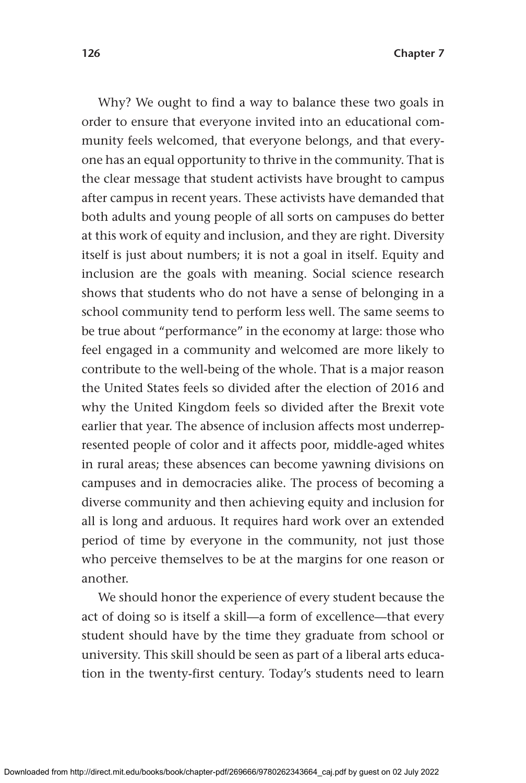Why? We ought to find a way to balance these two goals in order to ensure that everyone invited into an educational community feels welcomed, that everyone belongs, and that everyone has an equal opportunity to thrive in the community. That is the clear message that student activists have brought to campus after campus in recent years. These activists have demanded that both adults and young people of all sorts on campuses do better at this work of equity and inclusion, and they are right. Diversity itself is just about numbers; it is not a goal in itself. Equity and inclusion are the goals with meaning. Social science research shows that students who do not have a sense of belonging in a school community tend to perform less well. The same seems to be true about "performance" in the economy at large: those who feel engaged in a community and welcomed are more likely to contribute to the well-being of the whole. That is a major reason the United States feels so divided after the election of 2016 and why the United Kingdom feels so divided after the Brexit vote earlier that year. The absence of inclusion affects most underrepresented people of color and it affects poor, middle-aged whites in rural areas; these absences can become yawning divisions on campuses and in democracies alike. The process of becoming a diverse community and then achieving equity and inclusion for all is long and arduous. It requires hard work over an extended period of time by everyone in the community, not just those who perceive themselves to be at the margins for one reason or another.

We should honor the experience of every student because the act of doing so is itself a skill—a form of excellence—that every student should have by the time they graduate from school or university. This skill should be seen as part of a liberal arts education in the twenty-first century. Today's students need to learn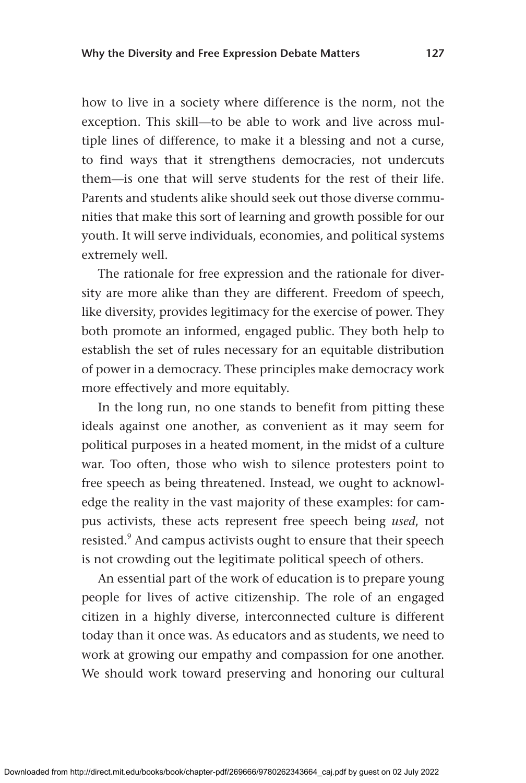how to live in a society where difference is the norm, not the exception. This skill—to be able to work and live across multiple lines of difference, to make it a blessing and not a curse, to find ways that it strengthens democracies, not undercuts them—is one that will serve students for the rest of their life. Parents and students alike should seek out those diverse communities that make this sort of learning and growth possible for our youth. It will serve individuals, economies, and political systems extremely well.

The rationale for free expression and the rationale for diversity are more alike than they are different. Freedom of speech, like diversity, provides legitimacy for the exercise of power. They both promote an informed, engaged public. They both help to establish the set of rules necessary for an equitable distribution of power in a democracy. These principles make democracy work more effectively and more equitably.

In the long run, no one stands to benefit from pitting these ideals against one another, as convenient as it may seem for political purposes in a heated moment, in the midst of a culture war. Too often, those who wish to silence protesters point to free speech as being threatened. Instead, we ought to acknowledge the reality in the vast majority of these examples: for campus activists, these acts represent free speech being *used*, not resisted.<sup>9</sup> And campus activists ought to ensure that their speech is not crowding out the legitimate political speech of others.

An essential part of the work of education is to prepare young people for lives of active citizenship. The role of an engaged citizen in a highly diverse, interconnected culture is different today than it once was. As educators and as students, we need to work at growing our empathy and compassion for one another. We should work toward preserving and honoring our cultural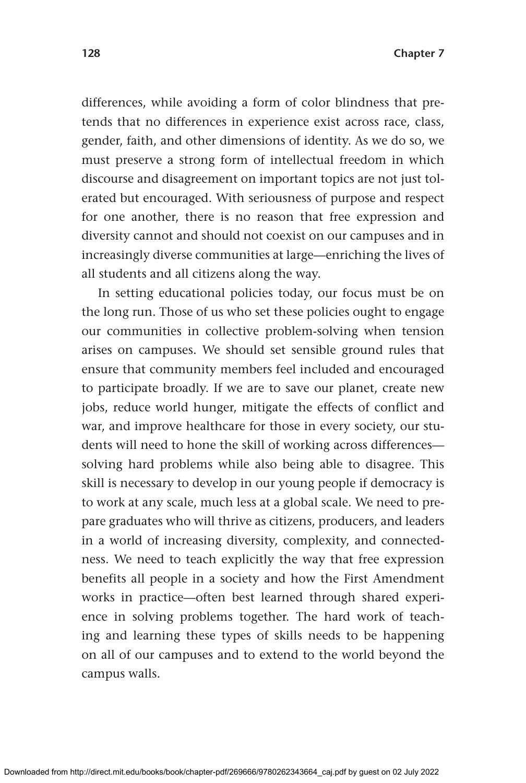differences, while avoiding a form of color blindness that pretends that no differences in experience exist across race, class, gender, faith, and other dimensions of identity. As we do so, we must preserve a strong form of intellectual freedom in which discourse and disagreement on important topics are not just tolerated but encouraged. With seriousness of purpose and respect for one another, there is no reason that free expression and diversity cannot and should not coexist on our campuses and in increasingly diverse communities at large—enriching the lives of all students and all citizens along the way.

In setting educational policies today, our focus must be on the long run. Those of us who set these policies ought to engage our communities in collective problem-solving when tension arises on campuses. We should set sensible ground rules that ensure that community members feel included and encouraged to participate broadly. If we are to save our planet, create new jobs, reduce world hunger, mitigate the effects of conflict and war, and improve healthcare for those in every society, our students will need to hone the skill of working across differences solving hard problems while also being able to disagree. This skill is necessary to develop in our young people if democracy is to work at any scale, much less at a global scale. We need to prepare graduates who will thrive as citizens, producers, and leaders in a world of increasing diversity, complexity, and connectedness. We need to teach explicitly the way that free expression benefits all people in a society and how the First Amendment works in practice—often best learned through shared experience in solving problems together. The hard work of teaching and learning these types of skills needs to be happening on all of our campuses and to extend to the world beyond the campus walls.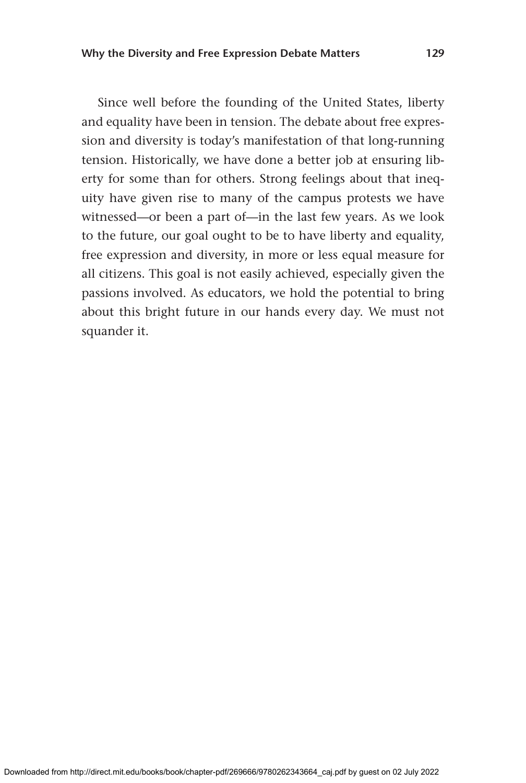Since well before the founding of the United States, liberty and equality have been in tension. The debate about free expression and diversity is today's manifestation of that long-running tension. Historically, we have done a better job at ensuring liberty for some than for others. Strong feelings about that inequity have given rise to many of the campus protests we have witnessed—or been a part of—in the last few years. As we look to the future, our goal ought to be to have liberty and equality, free expression and diversity, in more or less equal measure for all citizens. This goal is not easily achieved, especially given the passions involved. As educators, we hold the potential to bring about this bright future in our hands every day. We must not squander it.